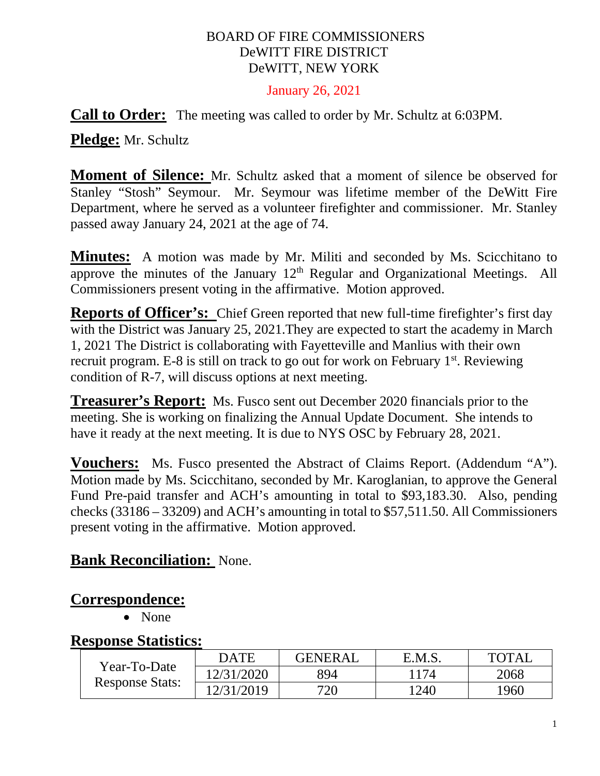#### BOARD OF FIRE COMMISSIONERS DeWITT FIRE DISTRICT DeWITT, NEW YORK

#### January 26, 2021

**Call to Order:** The meeting was called to order by Mr. Schultz at 6:03PM.

**Pledge:** Mr. Schultz

**Moment of Silence:** Mr. Schultz asked that a moment of silence be observed for Stanley "Stosh" Seymour. Mr. Seymour was lifetime member of the DeWitt Fire Department, where he served as a volunteer firefighter and commissioner. Mr. Stanley passed away January 24, 2021 at the age of 74.

**Minutes:** A motion was made by Mr. Militi and seconded by Ms. Scicchitano to approve the minutes of the January  $12<sup>th</sup>$  Regular and Organizational Meetings. All Commissioners present voting in the affirmative. Motion approved.

**Reports of Officer's:** Chief Green reported that new full-time firefighter's first day with the District was January 25, 2021. They are expected to start the academy in March 1, 2021 The District is collaborating with Fayetteville and Manlius with their own recruit program. E-8 is still on track to go out for work on February 1<sup>st</sup>. Reviewing condition of R-7, will discuss options at next meeting.

**Treasurer's Report:** Ms. Fusco sent out December 2020 financials prior to the meeting. She is working on finalizing the Annual Update Document. She intends to have it ready at the next meeting. It is due to NYS OSC by February 28, 2021.

**Vouchers:** Ms. Fusco presented the Abstract of Claims Report. (Addendum "A"). Motion made by Ms. Scicchitano, seconded by Mr. Karoglanian, to approve the General Fund Pre-paid transfer and ACH's amounting in total to \$93,183.30. Also, pending checks (33186 – 33209) and ACH's amounting in total to \$57,511.50. All Commissioners present voting in the affirmative. Motion approved.

#### **Bank Reconciliation:** None.

#### **Correspondence:**

• None

#### **Response Statistics:**

| Year-To-Date<br><b>Response Stats:</b> | <b>DATE</b> | <b>GENERAL</b> | E.M.S.     | <b>TOTAL</b> |
|----------------------------------------|-------------|----------------|------------|--------------|
|                                        | 12/31/2020  | 894            | $17\Delta$ | 2068         |
|                                        | 12/31/2019  | 720            | 1240       | 1960         |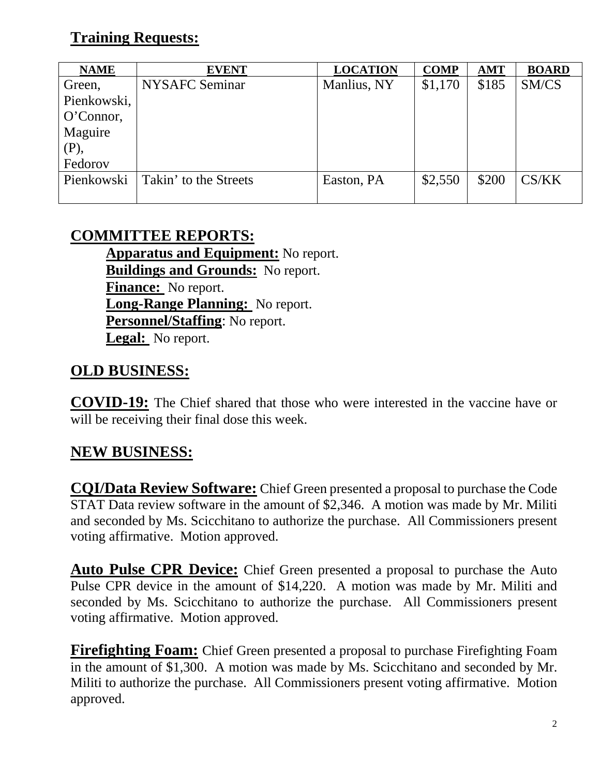# **Training Requests:**

| <b>NAME</b>  | <b>EVENT</b>          | <b>LOCATION</b> | <b>COMP</b> | <b>AMT</b> | <b>BOARD</b> |
|--------------|-----------------------|-----------------|-------------|------------|--------------|
| Green,       | NYSAFC Seminar        | Manlius, NY     | \$1,170     | \$185      | SM/CS        |
| Pienkowski,  |                       |                 |             |            |              |
| $O'Connor$ , |                       |                 |             |            |              |
| Maguire      |                       |                 |             |            |              |
| (P),         |                       |                 |             |            |              |
| Fedorov      |                       |                 |             |            |              |
| Pienkowski   | Takin' to the Streets | Easton, PA      | \$2,550     | \$200      | CS/KK        |
|              |                       |                 |             |            |              |

## **COMMITTEE REPORTS:**

**Apparatus and Equipment:** No report. **Buildings and Grounds:** No report. **Finance:** No report. **Long-Range Planning:** No report. **Personnel/Staffing**: No report. **Legal:** No report.

## **OLD BUSINESS:**

**COVID-19:** The Chief shared that those who were interested in the vaccine have or will be receiving their final dose this week.

## **NEW BUSINESS:**

**CQI/Data Review Software:** Chief Green presented a proposal to purchase the Code STAT Data review software in the amount of \$2,346. A motion was made by Mr. Militi and seconded by Ms. Scicchitano to authorize the purchase. All Commissioners present voting affirmative. Motion approved.

**Auto Pulse CPR Device:** Chief Green presented a proposal to purchase the Auto Pulse CPR device in the amount of \$14,220. A motion was made by Mr. Militi and seconded by Ms. Scicchitano to authorize the purchase. All Commissioners present voting affirmative. Motion approved.

**Firefighting Foam:** Chief Green presented a proposal to purchase Firefighting Foam in the amount of \$1,300. A motion was made by Ms. Scicchitano and seconded by Mr. Militi to authorize the purchase. All Commissioners present voting affirmative. Motion approved.